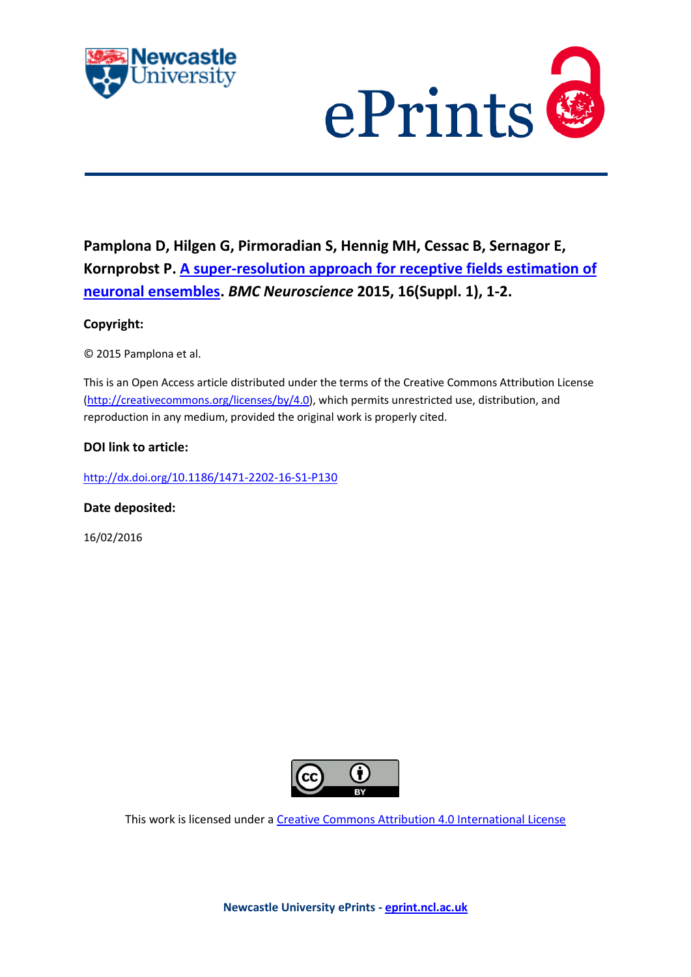



**Pamplona D, Hilgen G, Pirmoradian S, Hennig MH, Cessac B, Sernagor E, Kornprobst P. [A super-resolution approach for receptive fields estimation of](javascript:ViewPublication(218657);)  [neuronal ensembles.](javascript:ViewPublication(218657);)** *BMC Neuroscience* **2015, 16(Suppl. 1), 1-2.**

## **Copyright:**

© 2015 Pamplona et al.

This is an Open Access article distributed under the terms of the Creative Commons Attribution License [\(http://creativecommons.org/licenses/by/4.0\)](http://creativecommons.org/licenses/by/4.0), which permits unrestricted use, distribution, and reproduction in any medium, provided the original work is properly cited.

## **DOI link to article:**

http://dx.doi.org/[10.1186/1471-2202-16-S1-P130](http://dx.doi.org/10.1186/1471-2202-16-S1-P130)

**Date deposited:** 

16/02/2016



This work is licensed under [a Creative Commons Attribution 4.0 International License](http://creativecommons.org/licenses/by/4.0/)

**Newcastle University ePrints - [eprint.ncl.ac.uk](http://eprint.ncl.ac.uk/)**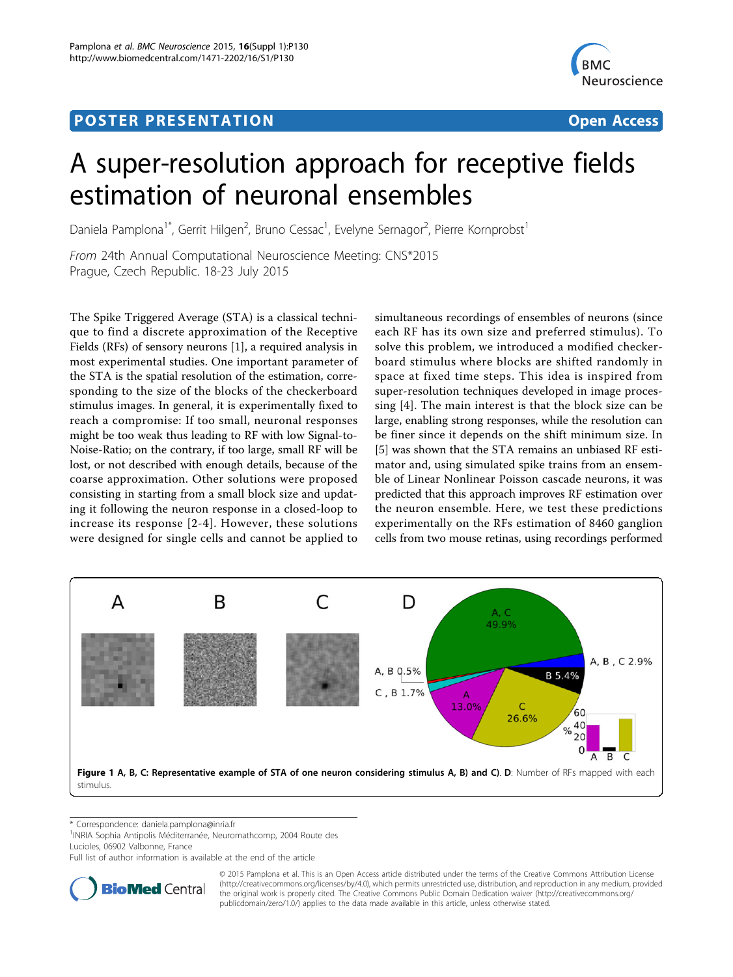## <span id="page-1-0"></span>Post Experimental Police in the St English Police in the St English Police in the St English Police in the St<br>Police in the St English Police in the St English Police in the St English Police in the St English Police in



# A super-resolution approach for receptive fields estimation of neuronal ensembles

Daniela Pamplona<sup>1\*</sup>, Gerrit Hilgen<sup>2</sup>, Bruno Cessac<sup>1</sup>, Evelyne Sernagor<sup>2</sup>, Pierre Kornprobst<sup>1</sup>

From 24th Annual Computational Neuroscience Meeting: CNS\*2015 Prague, Czech Republic. 18-23 July 2015

The Spike Triggered Average (STA) is a classical technique to find a discrete approximation of the Receptive Fields (RFs) of sensory neurons [[1\]](#page-2-0), a required analysis in most experimental studies. One important parameter of the STA is the spatial resolution of the estimation, corresponding to the size of the blocks of the checkerboard stimulus images. In general, it is experimentally fixed to reach a compromise: If too small, neuronal responses might be too weak thus leading to RF with low Signal-to-Noise-Ratio; on the contrary, if too large, small RF will be lost, or not described with enough details, because of the coarse approximation. Other solutions were proposed consisting in starting from a small block size and updating it following the neuron response in a closed-loop to increase its response [[2-4](#page-2-0)]. However, these solutions were designed for single cells and cannot be applied to

simultaneous recordings of ensembles of neurons (since each RF has its own size and preferred stimulus). To solve this problem, we introduced a modified checkerboard stimulus where blocks are shifted randomly in space at fixed time steps. This idea is inspired from super-resolution techniques developed in image processing [\[4](#page-2-0)]. The main interest is that the block size can be large, enabling strong responses, while the resolution can be finer since it depends on the shift minimum size. In [[5\]](#page-2-0) was shown that the STA remains an unbiased RF estimator and, using simulated spike trains from an ensemble of Linear Nonlinear Poisson cascade neurons, it was predicted that this approach improves RF estimation over the neuron ensemble. Here, we test these predictions experimentally on the RFs estimation of 8460 ganglion cells from two mouse retinas, using recordings performed



\* Correspondence: [daniela.pamplona@inria.fr](mailto:daniela.pamplona@inria.fr)

<sup>1</sup>INRIA Sophia Antipolis Méditerranée, Neuromathcomp, 2004 Route des Lucioles, 06902 Valbonne, France

Full list of author information is available at the end of the article



© 2015 Pamplona et al. This is an Open Access article distributed under the terms of the Creative Commons Attribution License [\(http://creativecommons.org/licenses/by/4.0](http://creativecommons.org/licenses/by/4.0)), which permits unrestricted use, distribution, and reproduction in any medium, provided the original work is properly cited. The Creative Commons Public Domain Dedication waiver ([http://creativecommons.org/](http://creativecommons.org/publicdomain/zero/1.0/) [publicdomain/zero/1.0/](http://creativecommons.org/publicdomain/zero/1.0/)) applies to the data made available in this article, unless otherwise stated